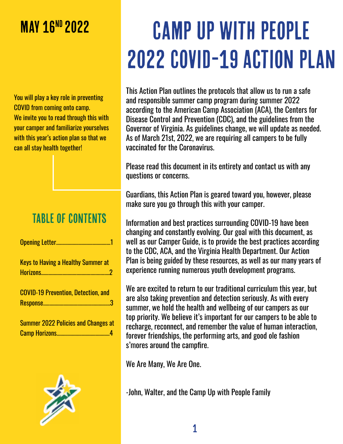# **MAY 16<sup>ND</sup> 2022**

You will play a key role in preventing COVID from coming onto camp. We invite you to read through this with your camper and familiarize yourselves with this year's action plan so that we can all stay health together!

# Table of contents

| <b>Keys to Having a Healthy Summer at</b>  |
|--------------------------------------------|
| <b>COVID-19 Prevention, Detection, and</b> |
| <b>Summer 2022 Policies and Changes at</b> |



**Camp Horizons................** 

# Camp up with people 2022 COVID-19 Action Plan

This Action Plan outlines the protocols that allow us to run a safe and responsible summer camp program during summer 2022 according to the American Camp Association (ACA), the Centers for Disease Control and Prevention (CDC), and the guidelines from the Governor of Virginia. As guidelines change, we will update as needed. As of March 21st, 2022, we are requiring all campers to be fully vaccinated for the Coronavirus.

Please read this document in its entirety and contact us with any questions or concerns.

Guardians, this Action Plan is geared toward you, however, please make sure you go through this with your camper.

Information and best practices surrounding COVID-19 have been changing and constantly evolving. Our goal with this document, as well as our Camper Guide, is to provide the best practices according to the CDC, ACA, and the Virginia Health Department. Our Action Plan is being guided by these resources, as well as our many years of experience running numerous youth development programs.

We are excited to return to our traditional curriculum this year, but are also taking prevention and detection seriously. As with every summer, we hold the health and wellbeing of our campers as our top priority. We believe it's important for our campers to be able to recharge, reconnect, and remember the value of human interaction, forever friendships, the performing arts, and good ole fashion s'mores around the campfire.

We Are Many, We Are One.

-John, Walter, and the Camp Up with People Family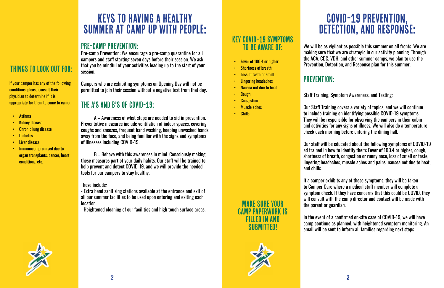

# Keys to having a healthy Summer at Camp up with people:

## Pre-camp Prevention:

Pre-camp Prevention: We encourage a pre-camp quarantine for all campers and staff starting seven days before their session. We ask that you be mindful of your activities leading up to the start of your session.

Campers who are exhibiting symptoms on Opening Day will not be permitted to join their session without a negative test from that day.

# The A's and B's of COVID-19:

A – Awareness of what steps are needed to aid in prevention. Preventative measures include ventilation of indoor spaces, covering coughs and sneezes, frequent hand washing, keeping unwashed hands away from the face, and being familiar with the signs and symptoms of illnesses including COVID-19.

B – Behave with this awareness in mind. Consciously making these measures part of your daily habits. Our staff will be trained to help prevent and detect COVID-19, and we will provide the needed tools for our campers to stay healthy.

### These include:

- Extra hand sanitizing stations available at the entrance and exit of all our summer facilities to be used upon entering and exiting each location.

- Heightened cleaning of our facilities and high touch surface areas.

# COVID-19 Prevention, Detection, and response:

We will be as vigilant as possible this summer on all fronts. We are making sure that we are strategic in our activity planning. Through the ACA, CDC, VDH, and other summer camps, we plan to use the Prevention, Detection, and Response plan for this summer.

# PREVENTION:

### Key COVID-19 Symptoms TO BE AWARE OF:

Staff Training, Symptom Awareness, and Testing:

Our Staff Training covers a variety of topics, and we will continue to include training on identifying possible COVID-19 symptoms. They will be responsible for observing the campers in their cabin and activities for any signs of illness. We will also do a temperature check each morning before entering the dining hall.

Our staff will be educated about the following symptoms of COVID-19 ad trained in how to identify them: Fever of 100.4 or higher, cough, shortness of breath, congestion or runny nose, loss of smell or taste, lingering headaches, muscle aches and pains, nausea not due to heat,

and chills.

If a camper exhibits any of these symptoms, they will be taken to Camper Care where a medical staff member will complete a symptom check. If they have concerns that this could be COVID, they will consult with the camp director and contact will be made with the parent or guardian.

In the event of a confirmed on-site case of COVID-19, we will have camp continue as planned, with heightened symptom monitoring. An email will be sent to inform all families regarding next steps.

Things to look out for:

If your camper has any of the following

conditions, please consult their physician to determine if it is

appropriate for them to come to camp.

• Asthma

• Kidney disease

• Chronic lung disease

• Diabetes • Liver disease

• Immunocompromised due to

organ transplants, cancer, heart

conditions, etc.

Make sure your

Camp Paperwork is

filled in and

submitted!



- Fever of 100.4 or higher
- **Shortness of breath**
- Loss of taste or smell
- Lingering headaches
- Nausea not due to heat
- Cough
- **Congestion**
- Muscle aches
- Chills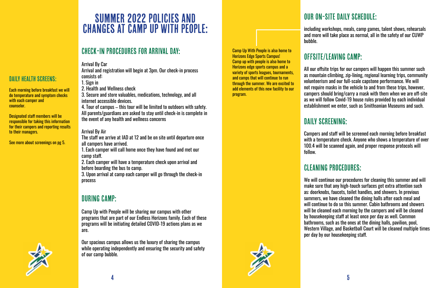

DAILY HEALTH SCREENS:

# Summer 2022 Policies And changes at camp up with people:

## Check-in Procedures for Arrival Day:

Arrival By Car

Arrival and registration will begin at 3pm. Our check-in process consists of:

1. Sign in

2. Health and Wellness check

3. Secure and store valuables, medications, technology, and all internet accessible devices.

4. Tour of campus – this tour will be limited to outdoors with safety. All parents/guardians are asked to stay until check-in is complete in the event of any health and wellness concerns

### Arrival By Air

The staff we arrive at IAD at 12 and be on site until departure once all campers have arrived.

1. Each camper will call home once they have found and met our camp staff.

2. Each camper will have a temperature check upon arrival and before boarding the bus to camp.

3. Upon arrival at camp each camper will go through the check-in process

## During camp:

Camp Up with People will be sharing our campus with other programs that are part of our Endless Horizons family. Each of these programs will be initiating detailed COVID-19 actions plans as we are.

Our spacious campus allows us the luxury of sharing the campus while operating independently and ensuring the security and safety of our camp bubble.

# Our On-Site Daily Schedule:

including workshops, meals, camp games, talent shows, rehearsals and more will take place as normal, all in the safety of our CUWP

bubble.

# Offsite/Leaving Camp:

All our offsite trips for our campers will happen this summer such as mountain climbing, zip-lining, regional learning trips, community volunteerism and our full-scale capstone performance. We will not require masks in the vehicle to and from these trips, however, campers should bring/carry a mask with them when we are off-site as we will follow Covid-19 house rules provided by each individual establishment we enter, such as Smithsonian Museums and such.

# DAILY SCREENING:

Campers and staff will be screened each morning before breakfast with a temperature check. Anyone who shows a temperature of over 100.4 will be scanned again, and proper response protocols will

follow.

# Cleaning Procedures:

We will continue our procedures for cleaning this summer and will make sure that any high-touch surfaces get extra attention such as: doorknobs, faucets, toilet handles, and showers. In previous summers, we have cleaned the dining halls after each meal and will continue to do so this summer. Cabin bathrooms and showers will be cleaned each morning by the campers and will be cleaned by housekeeping staff at least once per day as well. Common bathrooms, such as the ones at the dining halls, pavilion, pool, Western Village, and Basketball Court will be cleaned multiple times per day by our housekeeping staff.

Camp Up With People is also home to Horizons Edge Sports Campus! Camp up with people is also home to Horizons edge sports campus and a variety of sports leagues, tournaments, and camps that will continue to run through the summer. We are excited to add elements of this new facility to our program.

Each morning before breakfast we will do temperature and symptom checks

with each camper and

counselor.

Designated staff members will be responsible for taking this information for their campers and reporting results

to their managers.

See more about screenings on pg 5.